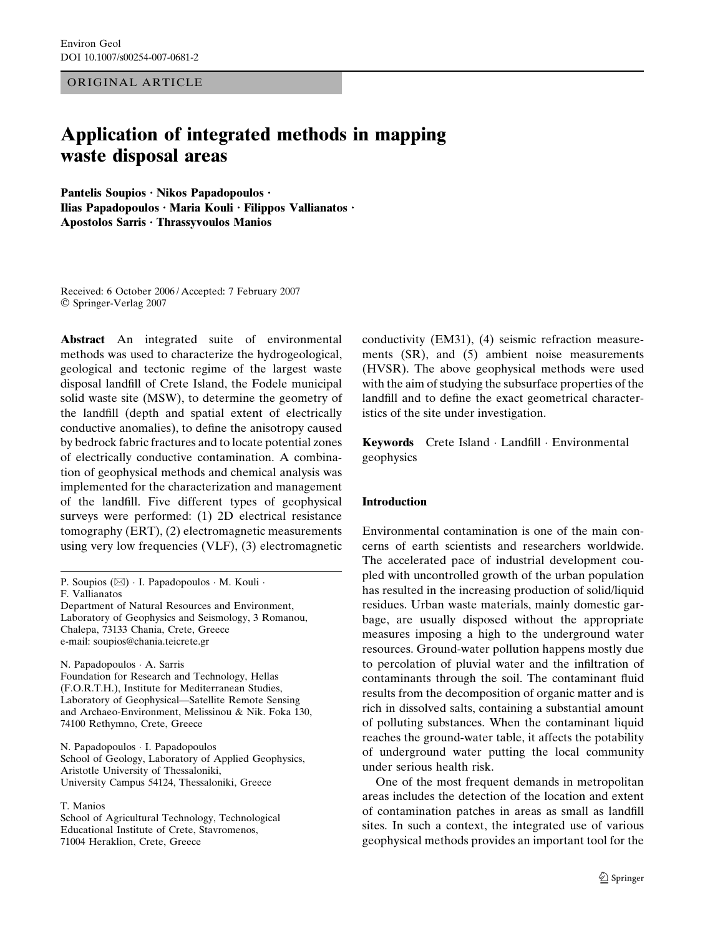ORIGINAL ARTICLE

# Application of integrated methods in mapping waste disposal areas

Pantelis Soupios · Nikos Papadopoulos · Ilias Papadopoulos · Maria Kouli · Filippos Vallianatos · Apostolos Sarris · Thrassyvoulos Manios

Received: 6 October 2006 / Accepted: 7 February 2007 Springer-Verlag 2007

Abstract An integrated suite of environmental methods was used to characterize the hydrogeological, geological and tectonic regime of the largest waste disposal landfill of Crete Island, the Fodele municipal solid waste site (MSW), to determine the geometry of the landfill (depth and spatial extent of electrically conductive anomalies), to define the anisotropy caused by bedrock fabric fractures and to locate potential zones of electrically conductive contamination. A combination of geophysical methods and chemical analysis was implemented for the characterization and management of the landfill. Five different types of geophysical surveys were performed: (1) 2D electrical resistance tomography (ERT), (2) electromagnetic measurements using very low frequencies (VLF), (3) electromagnetic

P. Soupios  $(\boxtimes)$  I. Papadopoulos  $\cdot$  M. Kouli  $\cdot$ F. Vallianatos

Department of Natural Resources and Environment, Laboratory of Geophysics and Seismology, 3 Romanou, Chalepa, 73133 Chania, Crete, Greece e-mail: soupios@chania.teicrete.gr

N. Papadopoulos · A. Sarris Foundation for Research and Technology, Hellas (F.O.R.T.H.), Institute for Mediterranean Studies, Laboratory of Geophysical—Satellite Remote Sensing and Archaeo-Environment, Melissinou & Nik. Foka 130, 74100 Rethymno, Crete, Greece

N. Papadopoulos · I. Papadopoulos School of Geology, Laboratory of Applied Geophysics, Aristotle University of Thessaloniki, University Campus 54124, Thessaloniki, Greece

#### T. Manios

School of Agricultural Technology, Technological Educational Institute of Crete, Stavromenos, 71004 Heraklion, Crete, Greece

conductivity (EM31), (4) seismic refraction measurements (SR), and (5) ambient noise measurements (HVSR). The above geophysical methods were used with the aim of studying the subsurface properties of the landfill and to define the exact geometrical characteristics of the site under investigation.

Keywords Crete Island Landfill Environmental geophysics

#### Introduction

Environmental contamination is one of the main concerns of earth scientists and researchers worldwide. The accelerated pace of industrial development coupled with uncontrolled growth of the urban population has resulted in the increasing production of solid/liquid residues. Urban waste materials, mainly domestic garbage, are usually disposed without the appropriate measures imposing a high to the underground water resources. Ground-water pollution happens mostly due to percolation of pluvial water and the infiltration of contaminants through the soil. The contaminant fluid results from the decomposition of organic matter and is rich in dissolved salts, containing a substantial amount of polluting substances. When the contaminant liquid reaches the ground-water table, it affects the potability of underground water putting the local community under serious health risk.

One of the most frequent demands in metropolitan areas includes the detection of the location and extent of contamination patches in areas as small as landfill sites. In such a context, the integrated use of various geophysical methods provides an important tool for the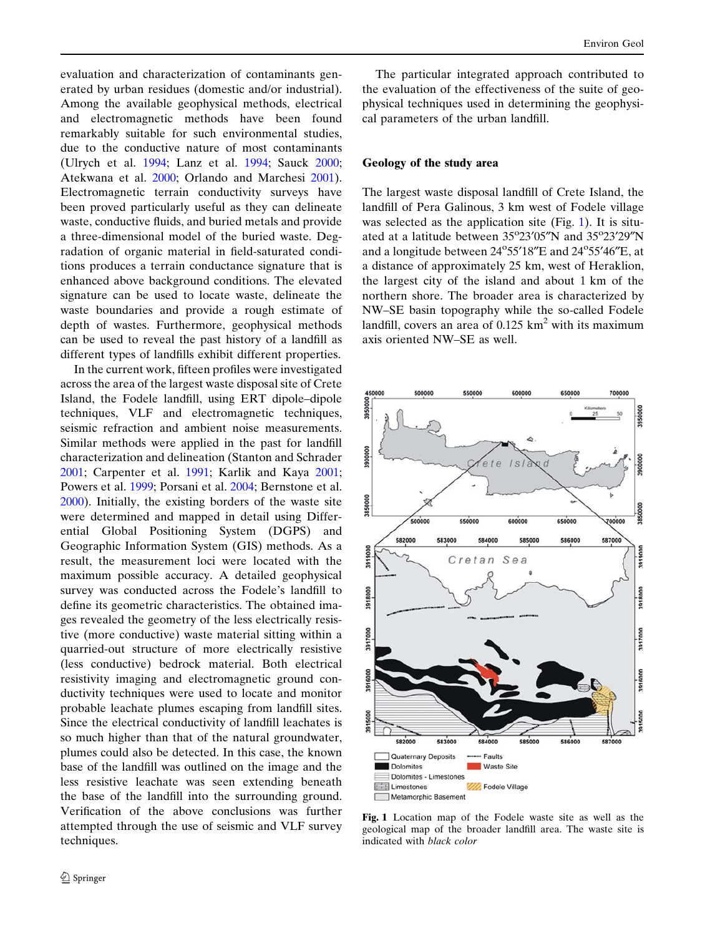<span id="page-1-0"></span>evaluation and characterization of contaminants generated by urban residues (domestic and/or industrial). Among the available geophysical methods, electrical and electromagnetic methods have been found remarkably suitable for such environmental studies, due to the conductive nature of most contaminants (Ulrych et al. [1994;](#page-14-0) Lanz et al. [1994;](#page-13-0) Sauck [2000;](#page-14-0) Atekwana et al. [2000;](#page-12-0) Orlando and Marchesi [2001\)](#page-13-0). Electromagnetic terrain conductivity surveys have been proved particularly useful as they can delineate waste, conductive fluids, and buried metals and provide a three-dimensional model of the buried waste. Degradation of organic material in field-saturated conditions produces a terrain conductance signature that is enhanced above background conditions. The elevated signature can be used to locate waste, delineate the waste boundaries and provide a rough estimate of depth of wastes. Furthermore, geophysical methods can be used to reveal the past history of a landfill as different types of landfills exhibit different properties.

In the current work, fifteen profiles were investigated across the area of the largest waste disposal site of Crete Island, the Fodele landfill, using ERT dipole–dipole techniques, VLF and electromagnetic techniques, seismic refraction and ambient noise measurements. Similar methods were applied in the past for landfill characterization and delineation (Stanton and Schrader [2001;](#page-14-0) Carpenter et al. [1991;](#page-12-0) Karlik and Kaya [2001;](#page-13-0) Powers et al. [1999;](#page-13-0) Porsani et al. [2004;](#page-13-0) Bernstone et al. [2000\)](#page-12-0). Initially, the existing borders of the waste site were determined and mapped in detail using Differential Global Positioning System (DGPS) and Geographic Information System (GIS) methods. As a result, the measurement loci were located with the maximum possible accuracy. A detailed geophysical survey was conducted across the Fodele's landfill to define its geometric characteristics. The obtained images revealed the geometry of the less electrically resistive (more conductive) waste material sitting within a quarried-out structure of more electrically resistive (less conductive) bedrock material. Both electrical resistivity imaging and electromagnetic ground conductivity techniques were used to locate and monitor probable leachate plumes escaping from landfill sites. Since the electrical conductivity of landfill leachates is so much higher than that of the natural groundwater, plumes could also be detected. In this case, the known base of the landfill was outlined on the image and the less resistive leachate was seen extending beneath the base of the landfill into the surrounding ground. Verification of the above conclusions was further attempted through the use of seismic and VLF survey techniques.

The particular integrated approach contributed to the evaluation of the effectiveness of the suite of geophysical techniques used in determining the geophysical parameters of the urban landfill.

# Geology of the study area

The largest waste disposal landfill of Crete Island, the landfill of Pera Galinous, 3 km west of Fodele village was selected as the application site (Fig. 1). It is situated at a latitude between 35°23'05"N and 35°23'29"N and a longitude between 24°55'18"E and 24°55'46"E, at a distance of approximately 25 km, west of Heraklion, the largest city of the island and about 1 km of the northern shore. The broader area is characterized by NW–SE basin topography while the so-called Fodele landfill, covers an area of  $0.125 \text{ km}^2$  with its maximum axis oriented NW–SE as well.



Fig. 1 Location map of the Fodele waste site as well as the geological map of the broader landfill area. The waste site is indicated with black color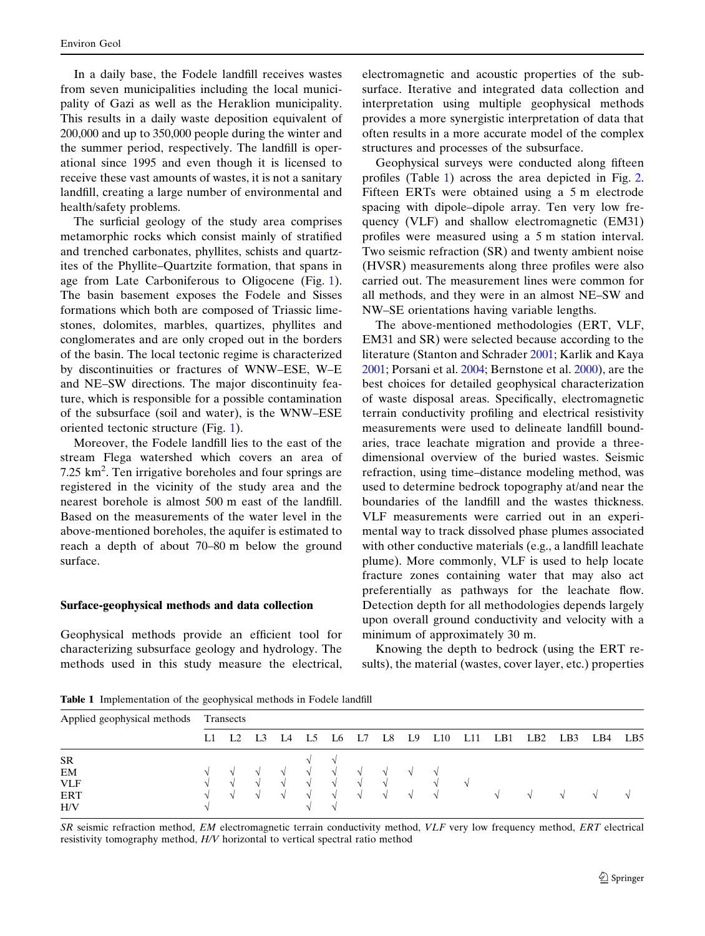<span id="page-2-0"></span>In a daily base, the Fodele landfill receives wastes from seven municipalities including the local municipality of Gazi as well as the Heraklion municipality. This results in a daily waste deposition equivalent of 200,000 and up to 350,000 people during the winter and the summer period, respectively. The landfill is operational since 1995 and even though it is licensed to receive these vast amounts of wastes, it is not a sanitary landfill, creating a large number of environmental and health/safety problems.

The surficial geology of the study area comprises metamorphic rocks which consist mainly of stratified and trenched carbonates, phyllites, schists and quartzites of the Phyllite–Quartzite formation, that spans in age from Late Carboniferous to Oligocene (Fig. [1\)](#page-1-0). The basin basement exposes the Fodele and Sisses formations which both are composed of Triassic limestones, dolomites, marbles, quartizes, phyllites and conglomerates and are only croped out in the borders of the basin. The local tectonic regime is characterized by discontinuities or fractures of WNW–ESE, W–E and NE–SW directions. The major discontinuity feature, which is responsible for a possible contamination of the subsurface (soil and water), is the WNW–ESE oriented tectonic structure (Fig. [1](#page-1-0)).

Moreover, the Fodele landfill lies to the east of the stream Flega watershed which covers an area of 7.25 km<sup>2</sup>. Ten irrigative boreholes and four springs are registered in the vicinity of the study area and the nearest borehole is almost 500 m east of the landfill. Based on the measurements of the water level in the above-mentioned boreholes, the aquifer is estimated to reach a depth of about 70–80 m below the ground surface.

#### Surface-geophysical methods and data collection

Geophysical methods provide an efficient tool for characterizing subsurface geology and hydrology. The methods used in this study measure the electrical, electromagnetic and acoustic properties of the subsurface. Iterative and integrated data collection and interpretation using multiple geophysical methods provides a more synergistic interpretation of data that often results in a more accurate model of the complex structures and processes of the subsurface.

Geophysical surveys were conducted along fifteen profiles (Table 1) across the area depicted in Fig. [2.](#page-3-0) Fifteen ERTs were obtained using a 5 m electrode spacing with dipole–dipole array. Ten very low frequency (VLF) and shallow electromagnetic (EM31) profiles were measured using a 5 m station interval. Two seismic refraction (SR) and twenty ambient noise (HVSR) measurements along three profiles were also carried out. The measurement lines were common for all methods, and they were in an almost NE–SW and NW–SE orientations having variable lengths.

The above-mentioned methodologies (ERT, VLF, EM31 and SR) were selected because according to the literature (Stanton and Schrader [2001](#page-14-0); Karlik and Kaya [2001](#page-13-0); Porsani et al. [2004;](#page-13-0) Bernstone et al. [2000](#page-12-0)), are the best choices for detailed geophysical characterization of waste disposal areas. Specifically, electromagnetic terrain conductivity profiling and electrical resistivity measurements were used to delineate landfill boundaries, trace leachate migration and provide a threedimensional overview of the buried wastes. Seismic refraction, using time–distance modeling method, was used to determine bedrock topography at/and near the boundaries of the landfill and the wastes thickness. VLF measurements were carried out in an experimental way to track dissolved phase plumes associated with other conductive materials (e.g., a landfill leachate plume). More commonly, VLF is used to help locate fracture zones containing water that may also act preferentially as pathways for the leachate flow. Detection depth for all methodologies depends largely upon overall ground conductivity and velocity with a minimum of approximately 30 m.

Knowing the depth to bedrock (using the ERT results), the material (wastes, cover layer, etc.) properties

Table 1 Implementation of the geophysical methods in Fodele landfill

| Applied geophysical methods | Transects     |            |                     |        |  |          |                                  |    |                     |          |       |     |                 |               |     |     |
|-----------------------------|---------------|------------|---------------------|--------|--|----------|----------------------------------|----|---------------------|----------|-------|-----|-----------------|---------------|-----|-----|
|                             |               |            | $L1$ $L2$ $L3$ $L4$ |        |  | L5 L6 L7 |                                  | L8 | L9                  | L10      | - L11 | LB1 | LB <sub>2</sub> | LB3           | LB4 | LB5 |
| <b>SR</b>                   |               |            |                     |        |  |          |                                  |    |                     |          |       |     |                 |               |     |     |
| EM                          |               |            | V V V V V V V V V   |        |  |          |                                  |    |                     |          |       |     |                 |               |     |     |
| <b>VLF</b>                  | $\sim$        | $\sim$     | $\sim$              |        |  |          | $\sqrt{1}$ $\sqrt{1}$ $\sqrt{1}$ |    |                     | $\Delta$ |       |     |                 |               |     |     |
| <b>ERT</b><br>H/V           | $\mathcal{L}$ | $\Delta l$ |                     | $\sim$ |  |          | $\sqrt{}$ $\sqrt{}$ $\sqrt{}$    |    | $\sqrt{}$ $\sqrt{}$ |          |       |     |                 | $\mathcal{N}$ |     |     |

SR seismic refraction method, EM electromagnetic terrain conductivity method, VLF very low frequency method, ERT electrical resistivity tomography method, H/V horizontal to vertical spectral ratio method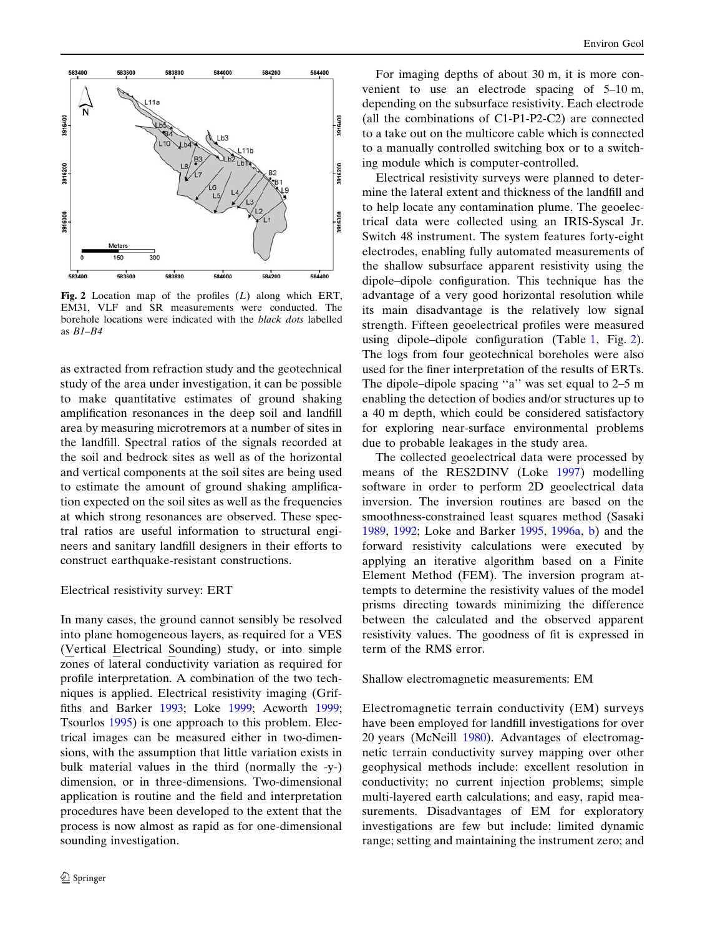<span id="page-3-0"></span>

Fig. 2 Location map of the profiles  $(L)$  along which ERT, EM31, VLF and SR measurements were conducted. The borehole locations were indicated with the black dots labelled as B1–B4

as extracted from refraction study and the geotechnical study of the area under investigation, it can be possible to make quantitative estimates of ground shaking amplification resonances in the deep soil and landfill area by measuring microtremors at a number of sites in the landfill. Spectral ratios of the signals recorded at the soil and bedrock sites as well as of the horizontal and vertical components at the soil sites are being used to estimate the amount of ground shaking amplification expected on the soil sites as well as the frequencies at which strong resonances are observed. These spectral ratios are useful information to structural engineers and sanitary landfill designers in their efforts to construct earthquake-resistant constructions.

# Electrical resistivity survey: ERT

In many cases, the ground cannot sensibly be resolved into plane homogeneous layers, as required for a VES (Vertical Electrical Sounding) study, or into simple zones of lateral conductivity variation as required for profile interpretation. A combination of the two techniques is applied. Electrical resistivity imaging (Griffiths and Barker [1993;](#page-13-0) Loke [1999](#page-13-0); Acworth [1999;](#page-12-0) Tsourlos [1995\)](#page-14-0) is one approach to this problem. Electrical images can be measured either in two-dimensions, with the assumption that little variation exists in bulk material values in the third (normally the -y-) dimension, or in three-dimensions. Two-dimensional application is routine and the field and interpretation procedures have been developed to the extent that the process is now almost as rapid as for one-dimensional sounding investigation.

For imaging depths of about 30 m, it is more convenient to use an electrode spacing of 5–10 m, depending on the subsurface resistivity. Each electrode (all the combinations of C1-P1-P2-C2) are connected to a take out on the multicore cable which is connected to a manually controlled switching box or to a switching module which is computer-controlled.

Electrical resistivity surveys were planned to determine the lateral extent and thickness of the landfill and to help locate any contamination plume. The geoelectrical data were collected using an IRIS-Syscal Jr. Switch 48 instrument. The system features forty-eight electrodes, enabling fully automated measurements of the shallow subsurface apparent resistivity using the dipole–dipole configuration. This technique has the advantage of a very good horizontal resolution while its main disadvantage is the relatively low signal strength. Fifteen geoelectrical profiles were measured using dipole–dipole configuration (Table [1,](#page-2-0) Fig. 2). The logs from four geotechnical boreholes were also used for the finer interpretation of the results of ERTs. The dipole–dipole spacing "a" was set equal to 2–5 m enabling the detection of bodies and/or structures up to a 40 m depth, which could be considered satisfactory for exploring near-surface environmental problems due to probable leakages in the study area.

The collected geoelectrical data were processed by means of the RES2DINV (Loke [1997](#page-13-0)) modelling software in order to perform 2D geoelectrical data inversion. The inversion routines are based on the smoothness-constrained least squares method (Sasaki [1989](#page-14-0), [1992](#page-14-0); Loke and Barker [1995,](#page-13-0) [1996a,](#page-13-0) [b\)](#page-13-0) and the forward resistivity calculations were executed by applying an iterative algorithm based on a Finite Element Method (FEM). The inversion program attempts to determine the resistivity values of the model prisms directing towards minimizing the difference between the calculated and the observed apparent resistivity values. The goodness of fit is expressed in term of the RMS error.

#### Shallow electromagnetic measurements: EM

Electromagnetic terrain conductivity (EM) surveys have been employed for landfill investigations for over 20 years (McNeill [1980](#page-13-0)). Advantages of electromagnetic terrain conductivity survey mapping over other geophysical methods include: excellent resolution in conductivity; no current injection problems; simple multi-layered earth calculations; and easy, rapid measurements. Disadvantages of EM for exploratory investigations are few but include: limited dynamic range; setting and maintaining the instrument zero; and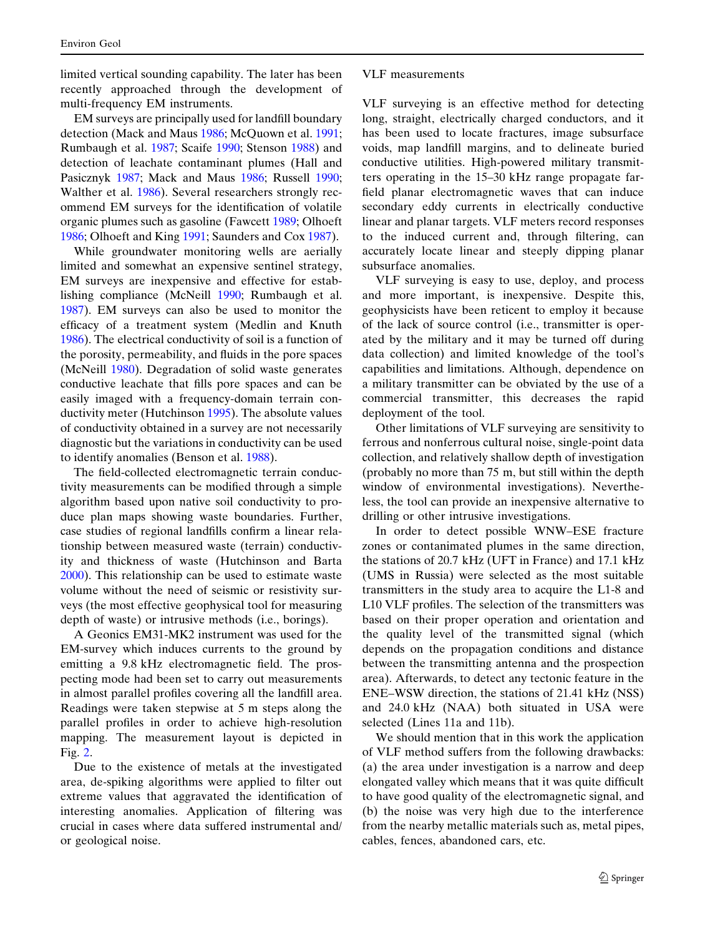limited vertical sounding capability. The later has been recently approached through the development of multi-frequency EM instruments.

EM surveys are principally used for landfill boundary detection (Mack and Maus [1986;](#page-13-0) McQuown et al. [1991;](#page-13-0) Rumbaugh et al. [1987;](#page-14-0) Scaife [1990;](#page-14-0) Stenson [1988](#page-14-0)) and detection of leachate contaminant plumes (Hall and Pasicznyk [1987](#page-13-0); Mack and Maus [1986](#page-13-0); Russell [1990;](#page-14-0) Walther et al. [1986\)](#page-14-0). Several researchers strongly recommend EM surveys for the identification of volatile organic plumes such as gasoline (Fawcett [1989](#page-12-0); Olhoeft [1986;](#page-13-0) Olhoeft and King [1991](#page-13-0); Saunders and Cox [1987](#page-14-0)).

While groundwater monitoring wells are aerially limited and somewhat an expensive sentinel strategy, EM surveys are inexpensive and effective for establishing compliance (McNeill [1990;](#page-13-0) Rumbaugh et al. [1987\)](#page-14-0). EM surveys can also be used to monitor the efficacy of a treatment system (Medlin and Knuth [1986\)](#page-13-0). The electrical conductivity of soil is a function of the porosity, permeability, and fluids in the pore spaces (McNeill [1980\)](#page-13-0). Degradation of solid waste generates conductive leachate that fills pore spaces and can be easily imaged with a frequency-domain terrain conductivity meter (Hutchinson [1995](#page-13-0)). The absolute values of conductivity obtained in a survey are not necessarily diagnostic but the variations in conductivity can be used to identify anomalies (Benson et al. [1988](#page-12-0)).

The field-collected electromagnetic terrain conductivity measurements can be modified through a simple algorithm based upon native soil conductivity to produce plan maps showing waste boundaries. Further, case studies of regional landfills confirm a linear relationship between measured waste (terrain) conductivity and thickness of waste (Hutchinson and Barta [2000\)](#page-13-0). This relationship can be used to estimate waste volume without the need of seismic or resistivity surveys (the most effective geophysical tool for measuring depth of waste) or intrusive methods (i.e., borings).

A Geonics EM31-MK2 instrument was used for the EM-survey which induces currents to the ground by emitting a 9.8 kHz electromagnetic field. The prospecting mode had been set to carry out measurements in almost parallel profiles covering all the landfill area. Readings were taken stepwise at 5 m steps along the parallel profiles in order to achieve high-resolution mapping. The measurement layout is depicted in Fig. [2.](#page-3-0)

Due to the existence of metals at the investigated area, de-spiking algorithms were applied to filter out extreme values that aggravated the identification of interesting anomalies. Application of filtering was crucial in cases where data suffered instrumental and/ or geological noise.

VLF measurements

VLF surveying is an effective method for detecting long, straight, electrically charged conductors, and it has been used to locate fractures, image subsurface voids, map landfill margins, and to delineate buried conductive utilities. High-powered military transmitters operating in the 15–30 kHz range propagate farfield planar electromagnetic waves that can induce secondary eddy currents in electrically conductive linear and planar targets. VLF meters record responses to the induced current and, through filtering, can accurately locate linear and steeply dipping planar subsurface anomalies.

VLF surveying is easy to use, deploy, and process and more important, is inexpensive. Despite this, geophysicists have been reticent to employ it because of the lack of source control (i.e., transmitter is operated by the military and it may be turned off during data collection) and limited knowledge of the tool's capabilities and limitations. Although, dependence on a military transmitter can be obviated by the use of a commercial transmitter, this decreases the rapid deployment of the tool.

Other limitations of VLF surveying are sensitivity to ferrous and nonferrous cultural noise, single-point data collection, and relatively shallow depth of investigation (probably no more than 75 m, but still within the depth window of environmental investigations). Nevertheless, the tool can provide an inexpensive alternative to drilling or other intrusive investigations.

In order to detect possible WNW–ESE fracture zones or contanimated plumes in the same direction, the stations of 20.7 kHz (UFT in France) and 17.1 kHz (UMS in Russia) were selected as the most suitable transmitters in the study area to acquire the L1-8 and L10 VLF profiles. The selection of the transmitters was based on their proper operation and orientation and the quality level of the transmitted signal (which depends on the propagation conditions and distance between the transmitting antenna and the prospection area). Afterwards, to detect any tectonic feature in the ENE–WSW direction, the stations of 21.41 kHz (NSS) and 24.0 kHz (NAA) both situated in USA were selected (Lines 11a and 11b).

We should mention that in this work the application of VLF method suffers from the following drawbacks: (a) the area under investigation is a narrow and deep elongated valley which means that it was quite difficult to have good quality of the electromagnetic signal, and (b) the noise was very high due to the interference from the nearby metallic materials such as, metal pipes, cables, fences, abandoned cars, etc.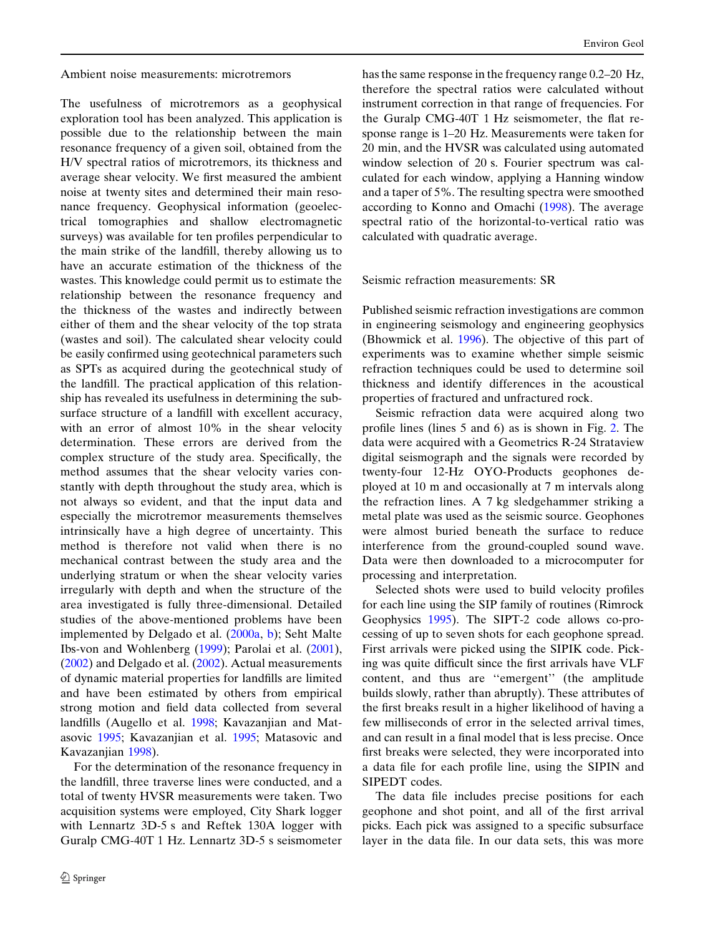Ambient noise measurements: microtremors

The usefulness of microtremors as a geophysical exploration tool has been analyzed. This application is possible due to the relationship between the main resonance frequency of a given soil, obtained from the H/V spectral ratios of microtremors, its thickness and average shear velocity. We first measured the ambient noise at twenty sites and determined their main resonance frequency. Geophysical information (geoelectrical tomographies and shallow electromagnetic surveys) was available for ten profiles perpendicular to the main strike of the landfill, thereby allowing us to have an accurate estimation of the thickness of the wastes. This knowledge could permit us to estimate the relationship between the resonance frequency and the thickness of the wastes and indirectly between either of them and the shear velocity of the top strata (wastes and soil). The calculated shear velocity could be easily confirmed using geotechnical parameters such as SPTs as acquired during the geotechnical study of the landfill. The practical application of this relationship has revealed its usefulness in determining the subsurface structure of a landfill with excellent accuracy, with an error of almost 10% in the shear velocity determination. These errors are derived from the complex structure of the study area. Specifically, the method assumes that the shear velocity varies constantly with depth throughout the study area, which is not always so evident, and that the input data and especially the microtremor measurements themselves intrinsically have a high degree of uncertainty. This method is therefore not valid when there is no mechanical contrast between the study area and the underlying stratum or when the shear velocity varies irregularly with depth and when the structure of the area investigated is fully three-dimensional. Detailed studies of the above-mentioned problems have been implemented by Delgado et al. ([2000a,](#page-12-0) [b](#page-12-0)); Seht Malte Ibs-von and Wohlenberg [\(1999](#page-14-0)); Parolai et al. ([2001\)](#page-13-0),  $(2002)$  $(2002)$  and Delgado et al.  $(2002)$  $(2002)$ . Actual measurements of dynamic material properties for landfills are limited and have been estimated by others from empirical strong motion and field data collected from several landfills (Augello et al. [1998](#page-12-0); Kavazanjian and Matasovic [1995](#page-13-0); Kavazanjian et al. [1995;](#page-13-0) Matasovic and Kavazanjian [1998](#page-13-0)).

For the determination of the resonance frequency in the landfill, three traverse lines were conducted, and a total of twenty HVSR measurements were taken. Two acquisition systems were employed, City Shark logger with Lennartz 3D-5 s and Reftek 130A logger with Guralp CMG-40T 1 Hz. Lennartz 3D-5 s seismometer has the same response in the frequency range 0.2–20 Hz, therefore the spectral ratios were calculated without instrument correction in that range of frequencies. For the Guralp CMG-40T 1 Hz seismometer, the flat response range is 1–20 Hz. Measurements were taken for 20 min, and the HVSR was calculated using automated window selection of 20 s. Fourier spectrum was calculated for each window, applying a Hanning window and a taper of 5%. The resulting spectra were smoothed according to Konno and Omachi ([1998\)](#page-13-0). The average spectral ratio of the horizontal-to-vertical ratio was calculated with quadratic average.

Seismic refraction measurements: SR

Published seismic refraction investigations are common in engineering seismology and engineering geophysics (Bhowmick et al. [1996\)](#page-12-0). The objective of this part of experiments was to examine whether simple seismic refraction techniques could be used to determine soil thickness and identify differences in the acoustical properties of fractured and unfractured rock.

Seismic refraction data were acquired along two profile lines (lines 5 and 6) as is shown in Fig. [2.](#page-3-0) The data were acquired with a Geometrics R-24 Strataview digital seismograph and the signals were recorded by twenty-four 12-Hz OYO-Products geophones deployed at 10 m and occasionally at 7 m intervals along the refraction lines. A 7 kg sledgehammer striking a metal plate was used as the seismic source. Geophones were almost buried beneath the surface to reduce interference from the ground-coupled sound wave. Data were then downloaded to a microcomputer for processing and interpretation.

Selected shots were used to build velocity profiles for each line using the SIP family of routines (Rimrock Geophysics [1995\)](#page-13-0). The SIPT-2 code allows co-processing of up to seven shots for each geophone spread. First arrivals were picked using the SIPIK code. Picking was quite difficult since the first arrivals have VLF content, and thus are ''emergent'' (the amplitude builds slowly, rather than abruptly). These attributes of the first breaks result in a higher likelihood of having a few milliseconds of error in the selected arrival times, and can result in a final model that is less precise. Once first breaks were selected, they were incorporated into a data file for each profile line, using the SIPIN and SIPEDT codes.

The data file includes precise positions for each geophone and shot point, and all of the first arrival picks. Each pick was assigned to a specific subsurface layer in the data file. In our data sets, this was more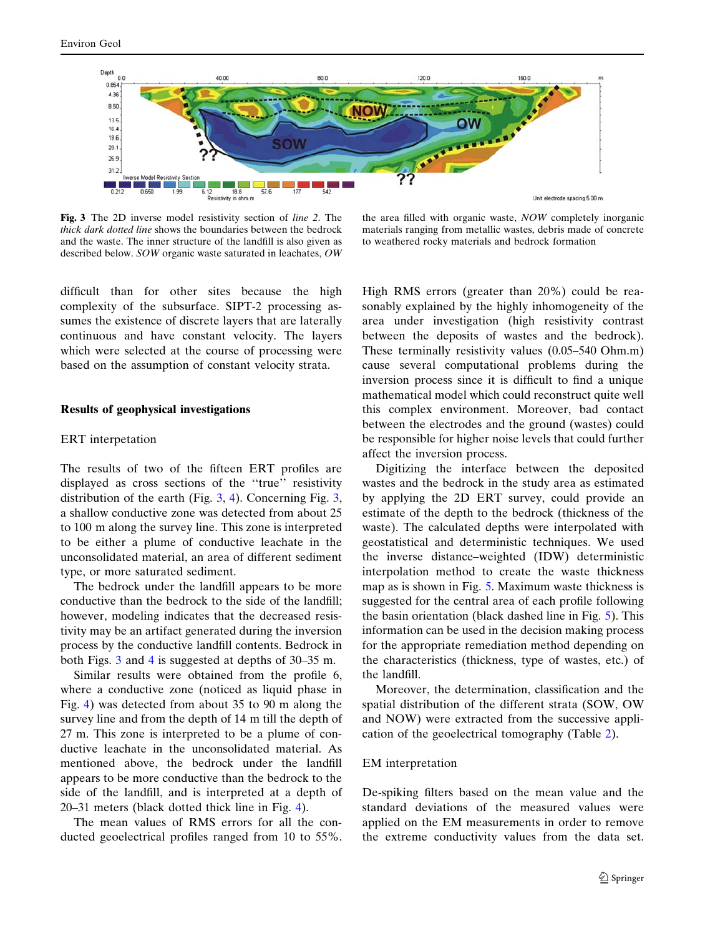<span id="page-6-0"></span>

Fig. 3 The 2D inverse model resistivity section of line 2. The thick dark dotted line shows the boundaries between the bedrock and the waste. The inner structure of the landfill is also given as described below. SOW organic waste saturated in leachates, OW

the area filled with organic waste, NOW completely inorganic materials ranging from metallic wastes, debris made of concrete to weathered rocky materials and bedrock formation

difficult than for other sites because the high complexity of the subsurface. SIPT-2 processing assumes the existence of discrete layers that are laterally continuous and have constant velocity. The layers which were selected at the course of processing were based on the assumption of constant velocity strata.

#### Results of geophysical investigations

#### ERT interpetation

The results of two of the fifteen ERT profiles are displayed as cross sections of the ''true'' resistivity distribution of the earth (Fig. 3, [4\)](#page-7-0). Concerning Fig. 3, a shallow conductive zone was detected from about 25 to 100 m along the survey line. This zone is interpreted to be either a plume of conductive leachate in the unconsolidated material, an area of different sediment type, or more saturated sediment.

The bedrock under the landfill appears to be more conductive than the bedrock to the side of the landfill; however, modeling indicates that the decreased resistivity may be an artifact generated during the inversion process by the conductive landfill contents. Bedrock in both Figs. 3 and [4](#page-7-0) is suggested at depths of 30–35 m.

Similar results were obtained from the profile 6, where a conductive zone (noticed as liquid phase in Fig. [4\)](#page-7-0) was detected from about 35 to 90 m along the survey line and from the depth of 14 m till the depth of 27 m. This zone is interpreted to be a plume of conductive leachate in the unconsolidated material. As mentioned above, the bedrock under the landfill appears to be more conductive than the bedrock to the side of the landfill, and is interpreted at a depth of 20–31 meters (black dotted thick line in Fig. [4\)](#page-7-0).

The mean values of RMS errors for all the conducted geoelectrical profiles ranged from 10 to 55%.

High RMS errors (greater than 20%) could be reasonably explained by the highly inhomogeneity of the area under investigation (high resistivity contrast between the deposits of wastes and the bedrock). These terminally resistivity values (0.05–540 Ohm.m) cause several computational problems during the inversion process since it is difficult to find a unique mathematical model which could reconstruct quite well this complex environment. Moreover, bad contact between the electrodes and the ground (wastes) could be responsible for higher noise levels that could further affect the inversion process.

Digitizing the interface between the deposited wastes and the bedrock in the study area as estimated by applying the 2D ERT survey, could provide an estimate of the depth to the bedrock (thickness of the waste). The calculated depths were interpolated with geostatistical and deterministic techniques. We used the inverse distance–weighted (IDW) deterministic interpolation method to create the waste thickness map as is shown in Fig. [5](#page-7-0). Maximum waste thickness is suggested for the central area of each profile following the basin orientation (black dashed line in Fig. [5](#page-7-0)). This information can be used in the decision making process for the appropriate remediation method depending on the characteristics (thickness, type of wastes, etc.) of the landfill.

Moreover, the determination, classification and the spatial distribution of the different strata (SOW, OW and NOW) were extracted from the successive application of the geoelectrical tomography (Table [2\)](#page-7-0).

#### EM interpretation

De-spiking filters based on the mean value and the standard deviations of the measured values were applied on the EM measurements in order to remove the extreme conductivity values from the data set.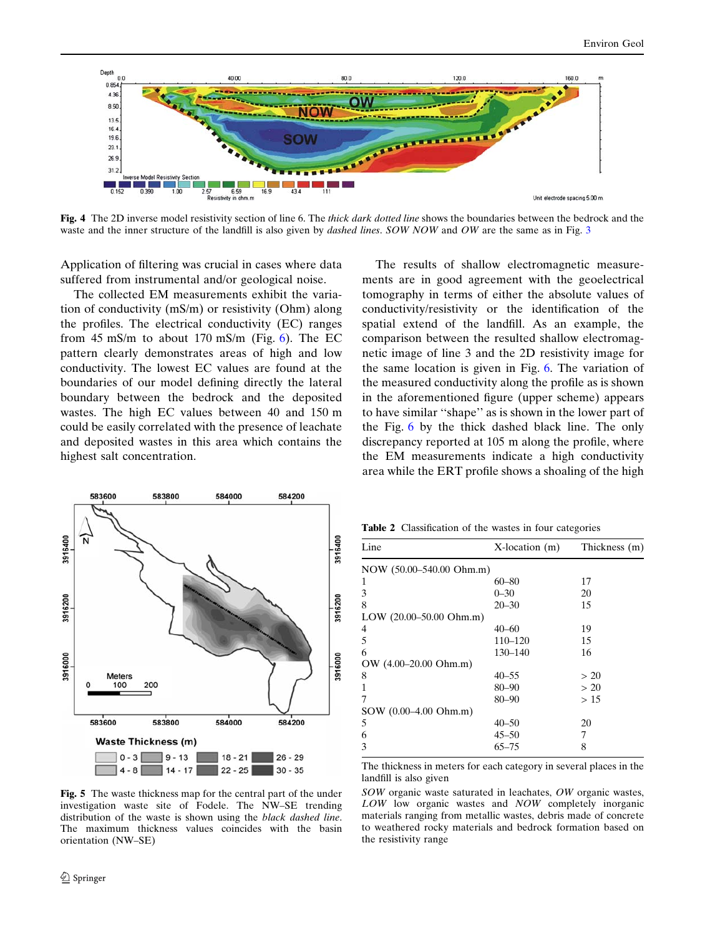<span id="page-7-0"></span>

Fig. 4 The 2D inverse model resistivity section of line 6. The *thick dark dotted line* shows the boundaries between the bedrock and the waste and the inner structure of the landfill is also given by *dashed lines. SOW NOW* and *OW* are the same as in Fig. [3](#page-6-0)

Application of filtering was crucial in cases where data suffered from instrumental and/or geological noise.

The collected EM measurements exhibit the variation of conductivity (mS/m) or resistivity (Ohm) along the profiles. The electrical conductivity (EC) ranges from 45 mS/m to about 170 mS/m (Fig.  $6$ ). The EC pattern clearly demonstrates areas of high and low conductivity. The lowest EC values are found at the boundaries of our model defining directly the lateral boundary between the bedrock and the deposited wastes. The high EC values between 40 and 150 m could be easily correlated with the presence of leachate and deposited wastes in this area which contains the highest salt concentration.

Fig. 5 The waste thickness map for the central part of the under investigation waste site of Fodele. The NW–SE trending distribution of the waste is shown using the black dashed line. The maximum thickness values coincides with the basin orientation (NW–SE)

The results of shallow electromagnetic measurements are in good agreement with the geoelectrical tomography in terms of either the absolute values of conductivity/resistivity or the identification of the spatial extend of the landfill. As an example, the comparison between the resulted shallow electromagnetic image of line 3 and the 2D resistivity image for the same location is given in Fig. [6.](#page-8-0) The variation of the measured conductivity along the profile as is shown in the aforementioned figure (upper scheme) appears to have similar ''shape'' as is shown in the lower part of the Fig. [6](#page-8-0) by the thick dashed black line. The only discrepancy reported at 105 m along the profile, where the EM measurements indicate a high conductivity area while the ERT profile shows a shoaling of the high

Table 2 Classification of the wastes in four categories

| Line                         | $X$ -location $(m)$ | Thickness (m) |
|------------------------------|---------------------|---------------|
| NOW (50.00–540.00 Ohm.m)     |                     |               |
| 1                            | 60–80               | 17            |
| 3                            | $0 - 30$            | 20            |
| 8                            | $20 - 30$           | 15            |
| LOW $(20.00 - 50.00)$ Ohm.m) |                     |               |
| 4                            | $40 - 60$           | 19            |
| 5                            | 110-120             | 15            |
| 6                            | 130-140             | 16            |
| OW (4.00–20.00 Ohm.m)        |                     |               |
| 8                            | $40 - 55$           | > 20          |
|                              | 80-90               | > 20          |
|                              | $80 - 90$           | >15           |
| SOW (0.00–4.00 Ohm.m)        |                     |               |
| 5                            | $40 - 50$           | 20            |
| 6                            | $45 - 50$           | 7             |
| 3                            | $65 - 75$           | 8             |
|                              |                     |               |

The thickness in meters for each category in several places in the landfill is also given

SOW organic waste saturated in leachates, OW organic wastes, LOW low organic wastes and NOW completely inorganic materials ranging from metallic wastes, debris made of concrete to weathered rocky materials and bedrock formation based on the resistivity range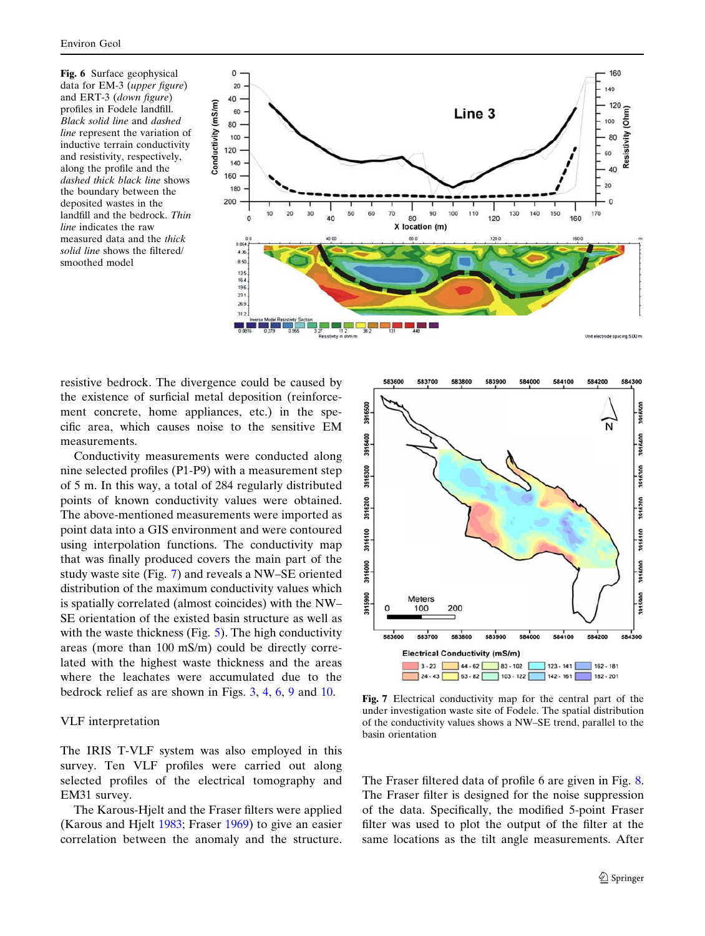<span id="page-8-0"></span>Fig. 6 Surface geophysical data for EM-3 (upper figure) and ERT-3 (down figure) profiles in Fodele landfill. Black solid line and dashed line represent the variation of inductive terrain conductivity and resistivity, respectively, along the profile and the dashed thick black line shows the boundary between the deposited wastes in the landfill and the bedrock. Thin line indicates the raw measured data and the thick solid line shows the filtered/ smoothed model



resistive bedrock. The divergence could be caused by the existence of surficial metal deposition (reinforcement concrete, home appliances, etc.) in the specific area, which causes noise to the sensitive EM measurements.

Conductivity measurements were conducted along nine selected profiles (P1-P9) with a measurement step of 5 m. In this way, a total of 284 regularly distributed points of known conductivity values were obtained. The above-mentioned measurements were imported as point data into a GIS environment and were contoured using interpolation functions. The conductivity map that was finally produced covers the main part of the study waste site (Fig. 7) and reveals a NW–SE oriented distribution of the maximum conductivity values which is spatially correlated (almost coincides) with the NW– SE orientation of the existed basin structure as well as with the waste thickness (Fig. [5](#page-7-0)). The high conductivity areas (more than 100 mS/m) could be directly correlated with the highest waste thickness and the areas where the leachates were accumulated due to the bedrock relief as are shown in Figs. [3](#page-6-0), [4,](#page-7-0) 6, [9](#page-9-0) and [10](#page-10-0).

# VLF interpretation

The IRIS T-VLF system was also employed in this survey. Ten VLF profiles were carried out along selected profiles of the electrical tomography and EM31 survey.

The Karous-Hjelt and the Fraser filters were applied (Karous and Hjelt [1983;](#page-13-0) Fraser [1969](#page-13-0)) to give an easier correlation between the anomaly and the structure.



Fig. 7 Electrical conductivity map for the central part of the under investigation waste site of Fodele. The spatial distribution of the conductivity values shows a NW–SE trend, parallel to the basin orientation

The Fraser filtered data of profile 6 are given in Fig. [8.](#page-9-0) The Fraser filter is designed for the noise suppression of the data. Specifically, the modified 5-point Fraser filter was used to plot the output of the filter at the same locations as the tilt angle measurements. After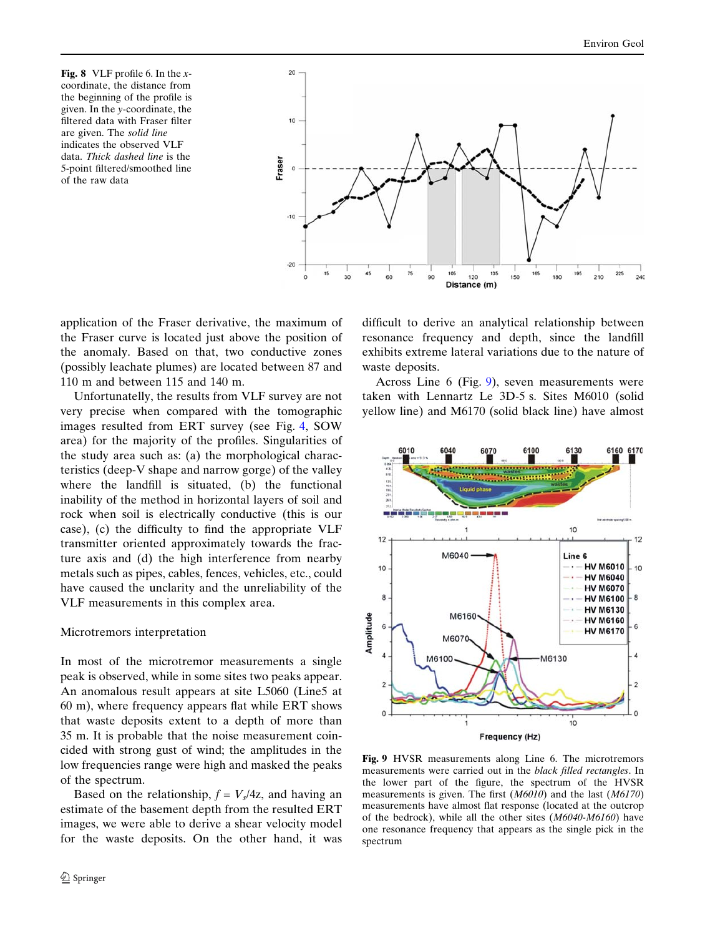<span id="page-9-0"></span>**Fig. 8** VLF profile 6. In the  $x$ coordinate, the distance from the beginning of the profile is given. In the y-coordinate, the filtered data with Fraser filter are given. The solid line indicates the observed VLF data. Thick dashed line is the 5-point filtered/smoothed line of the raw data



application of the Fraser derivative, the maximum of the Fraser curve is located just above the position of the anomaly. Based on that, two conductive zones (possibly leachate plumes) are located between 87 and 110 m and between 115 and 140 m.

Unfortunatelly, the results from VLF survey are not very precise when compared with the tomographic images resulted from ERT survey (see Fig. [4](#page-7-0), SOW area) for the majority of the profiles. Singularities of the study area such as: (a) the morphological characteristics (deep-V shape and narrow gorge) of the valley where the landfill is situated, (b) the functional inability of the method in horizontal layers of soil and rock when soil is electrically conductive (this is our case), (c) the difficulty to find the appropriate VLF transmitter oriented approximately towards the fracture axis and (d) the high interference from nearby metals such as pipes, cables, fences, vehicles, etc., could have caused the unclarity and the unreliability of the VLF measurements in this complex area.

### Microtremors interpretation

In most of the microtremor measurements a single peak is observed, while in some sites two peaks appear. An anomalous result appears at site L5060 (Line5 at 60 m), where frequency appears flat while ERT shows that waste deposits extent to a depth of more than 35 m. It is probable that the noise measurement coincided with strong gust of wind; the amplitudes in the low frequencies range were high and masked the peaks of the spectrum.

Based on the relationship,  $f = V_s/4z$ , and having an estimate of the basement depth from the resulted ERT images, we were able to derive a shear velocity model for the waste deposits. On the other hand, it was difficult to derive an analytical relationship between resonance frequency and depth, since the landfill exhibits extreme lateral variations due to the nature of waste deposits.

Across Line 6 (Fig. 9), seven measurements were taken with Lennartz Le 3D-5 s. Sites M6010 (solid yellow line) and M6170 (solid black line) have almost



Fig. 9 HVSR measurements along Line 6. The microtremors measurements were carried out in the black filled rectangles. In the lower part of the figure, the spectrum of the HVSR measurements is given. The first (M6010) and the last (M6170) measurements have almost flat response (located at the outcrop of the bedrock), while all the other sites (M6040-M6160) have one resonance frequency that appears as the single pick in the spectrum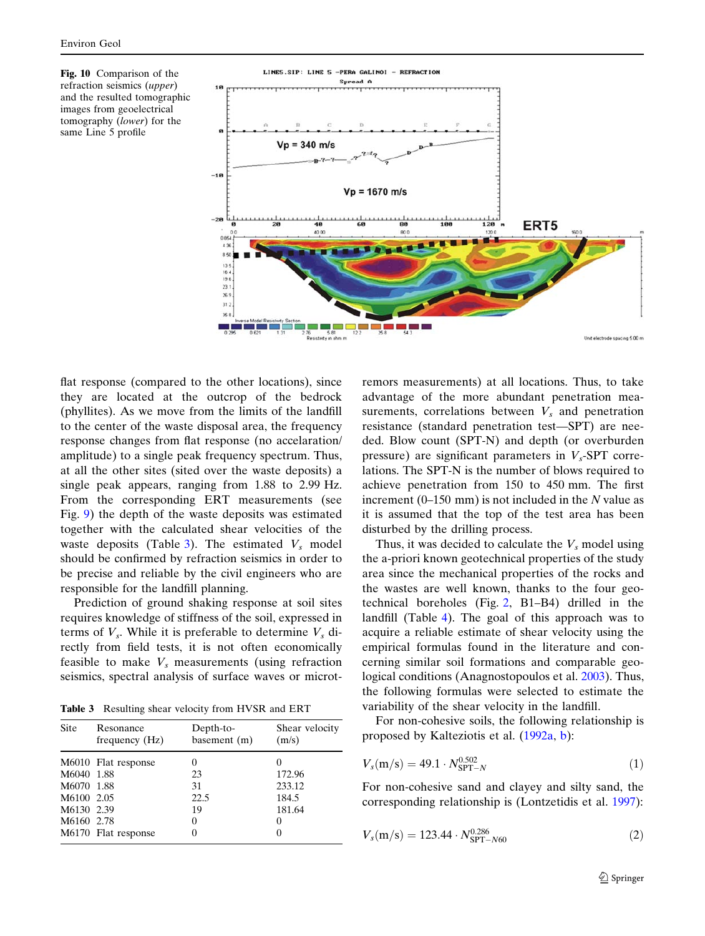<span id="page-10-0"></span>Fig. 10 Comparison of the refraction seismics (upper) and the resulted tomographic images from geoelectrical tomography (lower) for the same Line 5 profile



flat response (compared to the other locations), since they are located at the outcrop of the bedrock (phyllites). As we move from the limits of the landfill to the center of the waste disposal area, the frequency response changes from flat response (no accelaration/ amplitude) to a single peak frequency spectrum. Thus, at all the other sites (sited over the waste deposits) a single peak appears, ranging from 1.88 to 2.99 Hz. From the corresponding ERT measurements (see Fig. [9\)](#page-9-0) the depth of the waste deposits was estimated together with the calculated shear velocities of the waste deposits (Table 3). The estimated  $V_s$  model should be confirmed by refraction seismics in order to be precise and reliable by the civil engineers who are responsible for the landfill planning.

Prediction of ground shaking response at soil sites requires knowledge of stiffness of the soil, expressed in terms of  $V_s$ . While it is preferable to determine  $V_s$  directly from field tests, it is not often economically feasible to make  $V_s$  measurements (using refraction seismics, spectral analysis of surface waves or microt-

Table 3 Resulting shear velocity from HVSR and ERT

| <b>Site</b> | Resonance<br>frequency (Hz) | Depth-to-<br>basement (m) | Shear velocity<br>(m/s) |
|-------------|-----------------------------|---------------------------|-------------------------|
|             | M6010 Flat response         | $\theta$                  |                         |
| M6040 1.88  |                             | 23                        | 172.96                  |
| M6070 1.88  |                             | 31                        | 233.12                  |
| M6100 2.05  |                             | 22.5                      | 184.5                   |
| M6130 2.39  |                             | 19                        | 181.64                  |
| M6160 2.78  |                             | $\Omega$                  | $\theta$                |
|             | M6170 Flat response         |                           |                         |

remors measurements) at all locations. Thus, to take advantage of the more abundant penetration measurements, correlations between  $V_s$  and penetration resistance (standard penetration test—SPT) are needed. Blow count (SPT-N) and depth (or overburden pressure) are significant parameters in  $V_s$ -SPT correlations. The SPT-N is the number of blows required to achieve penetration from 150 to 450 mm. The first increment  $(0-150 \text{ mm})$  is not included in the N value as it is assumed that the top of the test area has been disturbed by the drilling process.

Thus, it was decided to calculate the  $V_s$  model using the a-priori known geotechnical properties of the study area since the mechanical properties of the rocks and the wastes are well known, thanks to the four geotechnical boreholes (Fig. [2](#page-3-0), B1–B4) drilled in the landfill (Table [4](#page-11-0)). The goal of this approach was to acquire a reliable estimate of shear velocity using the empirical formulas found in the literature and concerning similar soil formations and comparable geological conditions (Anagnostopoulos et al. [2003](#page-12-0)). Thus, the following formulas were selected to estimate the variability of the shear velocity in the landfill.

For non-cohesive soils, the following relationship is proposed by Kalteziotis et al. ([1992a,](#page-13-0) [b\)](#page-13-0):

$$
V_s(m/s) = 49.1 \cdot N_{\text{SPT}-N}^{0.502} \tag{1}
$$

For non-cohesive sand and clayey and silty sand, the corresponding relationship is (Lontzetidis et al. [1997](#page-13-0)):

$$
V_s(m/s) = 123.44 \cdot N_{\rm SPT-<60}^{0.286}
$$
 (2)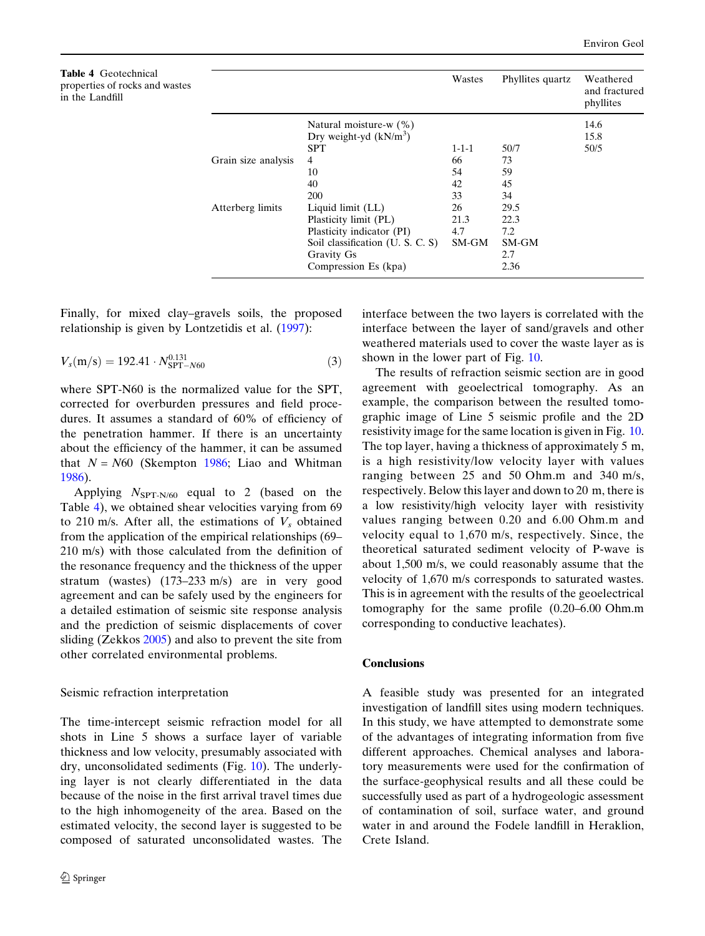<span id="page-11-0"></span>

| <b>Table 4</b> Geotechnical    |
|--------------------------------|
| properties of rocks and wastes |
| in the Landfill                |

|                     |                                  | Wastes      | Phyllites quartz | Weathered<br>and fractured<br>phyllites |
|---------------------|----------------------------------|-------------|------------------|-----------------------------------------|
|                     | Natural moisture-w $(\%)$        |             |                  | 14.6                                    |
|                     | Dry weight-yd $(kN/m^3)$         |             |                  | 15.8                                    |
|                     | <b>SPT</b>                       | $1 - 1 - 1$ | 50/7             | 50/5                                    |
| Grain size analysis | 4                                | 66          | 73               |                                         |
|                     | 10                               | 54          | 59               |                                         |
|                     | 40                               | 42          | 45               |                                         |
|                     | <b>200</b>                       | 33          | 34               |                                         |
| Atterberg limits    | Liquid limit (LL)                | 26          | 29.5             |                                         |
|                     | Plasticity limit (PL)            | 21.3        | 22.3             |                                         |
|                     | Plasticity indicator (PI)        | 4.7         | 7.2              |                                         |
|                     | Soil classification (U. S. C. S) | SM-GM       | SM-GM            |                                         |
|                     | <b>Gravity Gs</b>                |             | 2.7              |                                         |
|                     | Compression Es (kpa)             |             | 2.36             |                                         |

Finally, for mixed clay–gravels soils, the proposed relationship is given by Lontzetidis et al. [\(1997](#page-13-0)):

$$
V_s(m/s) = 192.41 \cdot N_{\rm SPT-<}^{0.131}
$$
 (3)

where SPT-N60 is the normalized value for the SPT, corrected for overburden pressures and field procedures. It assumes a standard of 60% of efficiency of the penetration hammer. If there is an uncertainty about the efficiency of the hammer, it can be assumed that  $N = N60$  (Skempton [1986](#page-14-0); Liao and Whitman [1986\)](#page-13-0).

Applying  $N_{\text{SPT-N/60}}$  equal to 2 (based on the Table 4), we obtained shear velocities varying from 69 to 210 m/s. After all, the estimations of  $V_s$  obtained from the application of the empirical relationships (69– 210 m/s) with those calculated from the definition of the resonance frequency and the thickness of the upper stratum (wastes) (173–233 m/s) are in very good agreement and can be safely used by the engineers for a detailed estimation of seismic site response analysis and the prediction of seismic displacements of cover sliding (Zekkos [2005](#page-14-0)) and also to prevent the site from other correlated environmental problems.

# Seismic refraction interpretation

The time-intercept seismic refraction model for all shots in Line 5 shows a surface layer of variable thickness and low velocity, presumably associated with dry, unconsolidated sediments (Fig. [10\)](#page-10-0). The underlying layer is not clearly differentiated in the data because of the noise in the first arrival travel times due to the high inhomogeneity of the area. Based on the estimated velocity, the second layer is suggested to be composed of saturated unconsolidated wastes. The interface between the two layers is correlated with the interface between the layer of sand/gravels and other weathered materials used to cover the waste layer as is shown in the lower part of Fig. [10](#page-10-0).

The results of refraction seismic section are in good agreement with geoelectrical tomography. As an example, the comparison between the resulted tomographic image of Line 5 seismic profile and the 2D resistivity image for the same location is given in Fig. [10.](#page-10-0) The top layer, having a thickness of approximately 5 m, is a high resistivity/low velocity layer with values ranging between 25 and 50 Ohm.m and 340 m/s, respectively. Below this layer and down to 20 m, there is a low resistivity/high velocity layer with resistivity values ranging between 0.20 and 6.00 Ohm.m and velocity equal to 1,670 m/s, respectively. Since, the theoretical saturated sediment velocity of P-wave is about 1,500 m/s, we could reasonably assume that the velocity of 1,670 m/s corresponds to saturated wastes. This is in agreement with the results of the geoelectrical tomography for the same profile (0.20–6.00 Ohm.m corresponding to conductive leachates).

# Conclusions

A feasible study was presented for an integrated investigation of landfill sites using modern techniques. In this study, we have attempted to demonstrate some of the advantages of integrating information from five different approaches. Chemical analyses and laboratory measurements were used for the confirmation of the surface-geophysical results and all these could be successfully used as part of a hydrogeologic assessment of contamination of soil, surface water, and ground water in and around the Fodele landfill in Heraklion, Crete Island.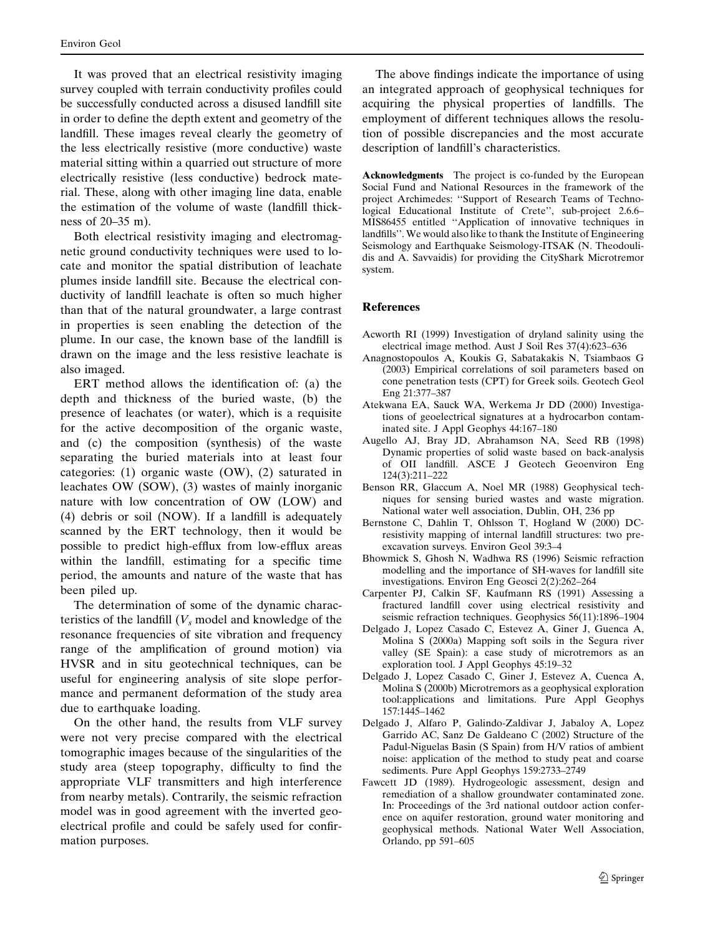<span id="page-12-0"></span>It was proved that an electrical resistivity imaging survey coupled with terrain conductivity profiles could be successfully conducted across a disused landfill site in order to define the depth extent and geometry of the landfill. These images reveal clearly the geometry of the less electrically resistive (more conductive) waste material sitting within a quarried out structure of more electrically resistive (less conductive) bedrock material. These, along with other imaging line data, enable the estimation of the volume of waste (landfill thickness of 20–35 m).

Both electrical resistivity imaging and electromagnetic ground conductivity techniques were used to locate and monitor the spatial distribution of leachate plumes inside landfill site. Because the electrical conductivity of landfill leachate is often so much higher than that of the natural groundwater, a large contrast in properties is seen enabling the detection of the plume. In our case, the known base of the landfill is drawn on the image and the less resistive leachate is also imaged.

ERT method allows the identification of: (a) the depth and thickness of the buried waste, (b) the presence of leachates (or water), which is a requisite for the active decomposition of the organic waste, and (c) the composition (synthesis) of the waste separating the buried materials into at least four categories: (1) organic waste (OW), (2) saturated in leachates OW (SOW), (3) wastes of mainly inorganic nature with low concentration of OW (LOW) and (4) debris or soil (NOW). If a landfill is adequately scanned by the ERT technology, then it would be possible to predict high-efflux from low-efflux areas within the landfill, estimating for a specific time period, the amounts and nature of the waste that has been piled up.

The determination of some of the dynamic characteristics of the landfill  $(V<sub>s</sub>$  model and knowledge of the resonance frequencies of site vibration and frequency range of the amplification of ground motion) via HVSR and in situ geotechnical techniques, can be useful for engineering analysis of site slope performance and permanent deformation of the study area due to earthquake loading.

On the other hand, the results from VLF survey were not very precise compared with the electrical tomographic images because of the singularities of the study area (steep topography, difficulty to find the appropriate VLF transmitters and high interference from nearby metals). Contrarily, the seismic refraction model was in good agreement with the inverted geoelectrical profile and could be safely used for confirmation purposes.

The above findings indicate the importance of using an integrated approach of geophysical techniques for acquiring the physical properties of landfills. The employment of different techniques allows the resolution of possible discrepancies and the most accurate description of landfill's characteristics.

Acknowledgments The project is co-funded by the European Social Fund and National Resources in the framework of the project Archimedes: ''Support of Research Teams of Technological Educational Institute of Crete'', sub-project 2.6.6– MIS86455 entitled ''Application of innovative techniques in landfills''. We would also like to thank the Institute of Engineering Seismology and Earthquake Seismology-ITSAK (N. Theodoulidis and A. Savvaidis) for providing the CityShark Microtremor system.

# References

- Acworth RI (1999) Investigation of dryland salinity using the electrical image method. Aust J Soil Res 37(4):623–636
- Anagnostopoulos A, Koukis G, Sabatakakis N, Tsiambaos G (2003) Empirical correlations of soil parameters based on cone penetration tests (CPT) for Greek soils. Geotech Geol Eng 21:377–387
- Atekwana EA, Sauck WA, Werkema Jr DD (2000) Investigations of geoelectrical signatures at a hydrocarbon contaminated site. J Appl Geophys 44:167–180
- Augello AJ, Bray JD, Abrahamson NA, Seed RB (1998) Dynamic properties of solid waste based on back-analysis of OII landfill. ASCE J Geotech Geoenviron Eng 124(3):211–222
- Benson RR, Glaccum A, Noel MR (1988) Geophysical techniques for sensing buried wastes and waste migration. National water well association, Dublin, OH, 236 pp
- Bernstone C, Dahlin T, Ohlsson T, Hogland W (2000) DCresistivity mapping of internal landfill structures: two preexcavation surveys. Environ Geol 39:3–4
- Bhowmick S, Ghosh N, Wadhwa RS (1996) Seismic refraction modelling and the importance of SH-waves for landfill site investigations. Environ Eng Geosci 2(2):262–264
- Carpenter PJ, Calkin SF, Kaufmann RS (1991) Assessing a fractured landfill cover using electrical resistivity and seismic refraction techniques. Geophysics 56(11):1896–1904
- Delgado J, Lopez Casado C, Estevez A, Giner J, Guenca A, Molina S (2000a) Mapping soft soils in the Segura river valley (SE Spain): a case study of microtremors as an exploration tool. J Appl Geophys 45:19–32
- Delgado J, Lopez Casado C, Giner J, Estevez A, Cuenca A, Molina S (2000b) Microtremors as a geophysical exploration tool:applications and limitations. Pure Appl Geophys 157:1445–1462
- Delgado J, Alfaro P, Galindo-Zaldivar J, Jabaloy A, Lopez Garrido AC, Sanz De Galdeano C (2002) Structure of the Padul-Niguelas Basin (S Spain) from H/V ratios of ambient noise: application of the method to study peat and coarse sediments. Pure Appl Geophys 159:2733–2749
- Fawcett JD (1989). Hydrogeologic assessment, design and remediation of a shallow groundwater contaminated zone. In: Proceedings of the 3rd national outdoor action conference on aquifer restoration, ground water monitoring and geophysical methods. National Water Well Association, Orlando, pp 591–605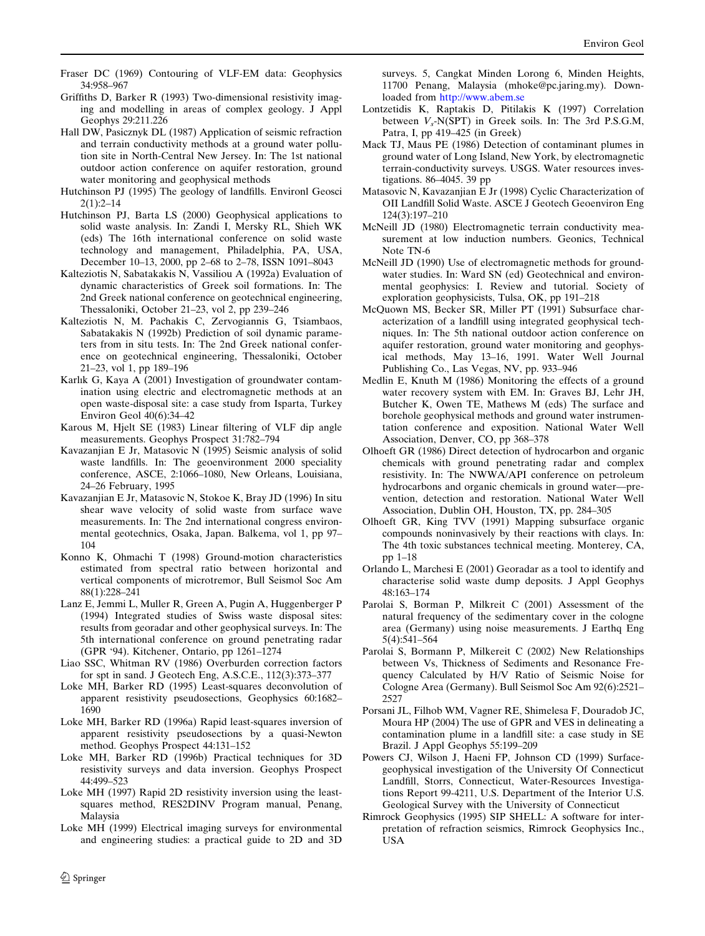- <span id="page-13-0"></span>Fraser DC (1969) Contouring of VLF-EM data: Geophysics 34:958–967
- Griffiths D, Barker R (1993) Two-dimensional resistivity imaging and modelling in areas of complex geology. J Appl Geophys 29:211.226
- Hall DW, Pasicznyk DL (1987) Application of seismic refraction and terrain conductivity methods at a ground water pollution site in North-Central New Jersey. In: The 1st national outdoor action conference on aquifer restoration, ground water monitoring and geophysical methods
- Hutchinson PJ (1995) The geology of landfills. Environl Geosci  $2(1) \cdot 2 - 14$
- Hutchinson PJ, Barta LS (2000) Geophysical applications to solid waste analysis. In: Zandi I, Mersky RL, Shieh WK (eds) The 16th international conference on solid waste technology and management, Philadelphia, PA, USA, December 10–13, 2000, pp 2–68 to 2–78, ISSN 1091–8043
- Kalteziotis N, Sabatakakis N, Vassiliou A (1992a) Evaluation of dynamic characteristics of Greek soil formations. In: The 2nd Greek national conference on geotechnical engineering, Thessaloniki, October 21–23, vol 2, pp 239–246
- Kalteziotis N, M. Pachakis C, Zervogiannis G, Tsiambaos, Sabatakakis N (1992b) Prediction of soil dynamic parameters from in situ tests. In: The 2nd Greek national conference on geotechnical engineering, Thessaloniki, October 21–23, vol 1, pp 189–196
- Karl*ı*k G, Kaya A (2001) Investigation of groundwater contamination using electric and electromagnetic methods at an open waste-disposal site: a case study from Isparta, Turkey Environ Geol 40(6):34–42
- Karous M, Hjelt SE (1983) Linear filtering of VLF dip angle measurements. Geophys Prospect 31:782–794
- Kavazanjian E Jr, Matasovic N (1995) Seismic analysis of solid waste landfills. In: The geoenvironment 2000 speciality conference, ASCE, 2:1066–1080, New Orleans, Louisiana, 24–26 February, 1995
- Kavazanjian E Jr, Matasovic N, Stokoe K, Bray JD (1996) In situ shear wave velocity of solid waste from surface wave measurements. In: The 2nd international congress environmental geotechnics, Osaka, Japan. Balkema, vol 1, pp 97– 104
- Konno K, Ohmachi T (1998) Ground-motion characteristics estimated from spectral ratio between horizontal and vertical components of microtremor, Bull Seismol Soc Am 88(1):228–241
- Lanz E, Jemmi L, Muller R, Green A, Pugin A, Huggenberger P (1994) Integrated studies of Swiss waste disposal sites: results from georadar and other geophysical surveys. In: The 5th international conference on ground penetrating radar (GPR '94). Kitchener, Ontario, pp 1261–1274
- Liao SSC, Whitman RV (1986) Overburden correction factors for spt in sand. J Geotech Eng, A.S.C.E., 112(3):373–377
- Loke MH, Barker RD (1995) Least-squares deconvolution of apparent resistivity pseudosections, Geophysics 60:1682– 1690
- Loke MH, Barker RD (1996a) Rapid least-squares inversion of apparent resistivity pseudosections by a quasi-Newton method. Geophys Prospect 44:131–152
- Loke MH, Barker RD (1996b) Practical techniques for 3D resistivity surveys and data inversion. Geophys Prospect 44:499–523
- Loke MH (1997) Rapid 2D resistivity inversion using the leastsquares method, RES2DINV Program manual, Penang, Malaysia
- Loke MH (1999) Electrical imaging surveys for environmental and engineering studies: a practical guide to 2D and 3D

surveys. 5, Cangkat Minden Lorong 6, Minden Heights, 11700 Penang, Malaysia (mhoke@pc.jaring.my). Downloaded from http://www.abem.se

- Lontzetidis K, Raptakis D, Pitilakis K (1997) Correlation between  $V_s$ -N(SPT) in Greek soils. In: The 3rd P.S.G.M, Patra, I, pp 419–425 (in Greek)
- Mack TJ, Maus PE (1986) Detection of contaminant plumes in ground water of Long Island, New York, by electromagnetic terrain-conductivity surveys. USGS. Water resources investigations. 86–4045. 39 pp
- Matasovic N, Kavazanjian E Jr (1998) Cyclic Characterization of OII Landfill Solid Waste. ASCE J Geotech Geoenviron Eng 124(3):197–210
- McNeill JD (1980) Electromagnetic terrain conductivity measurement at low induction numbers. Geonics, Technical Note TN-6
- McNeill JD (1990) Use of electromagnetic methods for groundwater studies. In: Ward SN (ed) Geotechnical and environmental geophysics: I. Review and tutorial. Society of exploration geophysicists, Tulsa, OK, pp 191–218
- McQuown MS, Becker SR, Miller PT (1991) Subsurface characterization of a landfill using integrated geophysical techniques. In: The 5th national outdoor action conference on aquifer restoration, ground water monitoring and geophysical methods, May 13–16, 1991. Water Well Journal Publishing Co., Las Vegas, NV, pp. 933–946
- Medlin E, Knuth M (1986) Monitoring the effects of a ground water recovery system with EM. In: Graves BJ, Lehr JH, Butcher K, Owen TE, Mathews M (eds) The surface and borehole geophysical methods and ground water instrumentation conference and exposition. National Water Well Association, Denver, CO, pp 368–378
- Olhoeft GR (1986) Direct detection of hydrocarbon and organic chemicals with ground penetrating radar and complex resistivity. In: The NWWA/API conference on petroleum hydrocarbons and organic chemicals in ground water—prevention, detection and restoration. National Water Well Association, Dublin OH, Houston, TX, pp. 284–305
- Olhoeft GR, King TVV (1991) Mapping subsurface organic compounds noninvasively by their reactions with clays. In: The 4th toxic substances technical meeting. Monterey, CA, pp 1–18
- Orlando L, Marchesi E (2001) Georadar as a tool to identify and characterise solid waste dump deposits. J Appl Geophys 48:163–174
- Parolai S, Borman P, Milkreit C (2001) Assessment of the natural frequency of the sedimentary cover in the cologne area (Germany) using noise measurements. J Earthq Eng 5(4):541–564
- Parolai S, Bormann P, Milkereit C (2002) New Relationships between Vs, Thickness of Sediments and Resonance Frequency Calculated by H/V Ratio of Seismic Noise for Cologne Area (Germany). Bull Seismol Soc Am 92(6):2521– 2527
- Porsani JL, Filhob WM, Vagner RE, Shimelesa F, Douradob JC, Moura HP (2004) The use of GPR and VES in delineating a contamination plume in a landfill site: a case study in SE Brazil. J Appl Geophys 55:199–209
- Powers CJ, Wilson J, Haeni FP, Johnson CD (1999) Surfacegeophysical investigation of the University Of Connecticut Landfill, Storrs, Connecticut, Water-Resources Investigations Report 99-4211, U.S. Department of the Interior U.S. Geological Survey with the University of Connecticut
- Rimrock Geophysics (1995) SIP SHELL: A software for interpretation of refraction seismics, Rimrock Geophysics Inc., USA